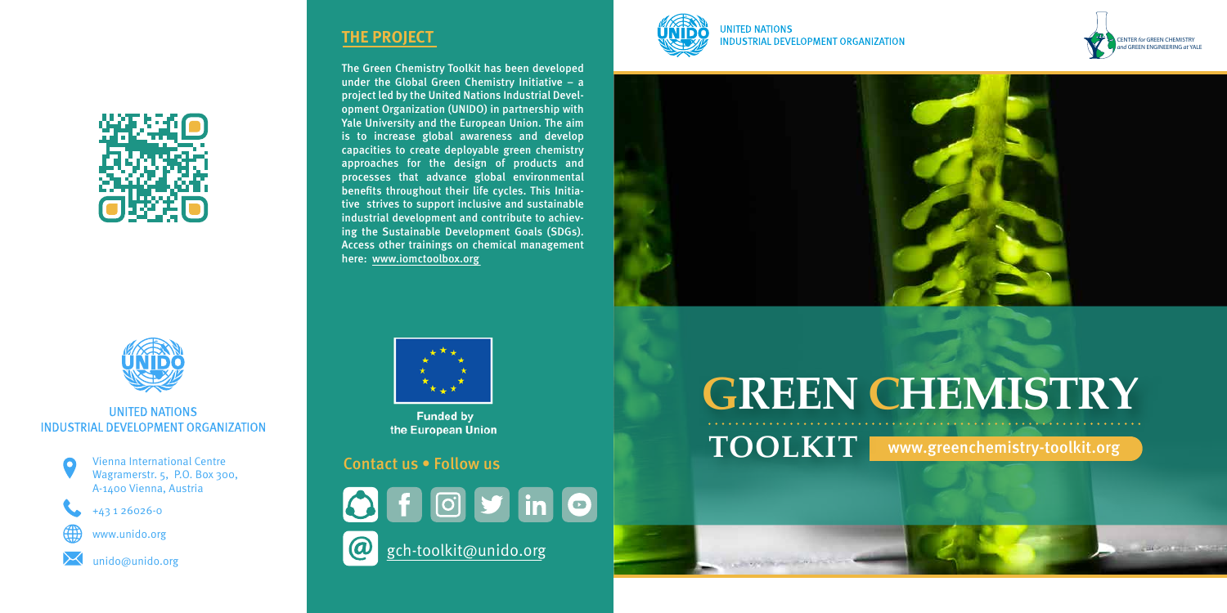



#### **UNITED NATIONS** INDUSTRIAL DEVELOPMENT ORGANIZATION

The Green Chemistry Toolkit has been developed under the Global Green Chemistry Initiative – a project led by the United Nations Industrial Development Organization (UNIDO) in partnership with Yale University and the European Union. The aim is to increase global awareness and develop capacities to create deployable green chemistry approaches for the design of products and processes that advance global environmental benefits throughout their life cycles. This Initiative strives to support inclusive and sustainable industrial development and contribute to achieving the Sustainable Development Goals (SDGs). Access other trainings on chemical management here: www.iomctoolbox.org



**Funded by** the European Union

## **THE PROJECT**

#### Contact us • Follow us

 $\boldsymbol{\omega}$ 







**UNITED NATIONS INDUSTRIAL DEVELOPMENT ORGANIZATION** 





+43 1 26026-0



www.unido.org



unido@unido.org

# **GREEN CHEMISTRY**



**CONTRACTOR** 

**TOOLKIT** www.greenchemistry-toolkit.org



**CONTRACTOR**